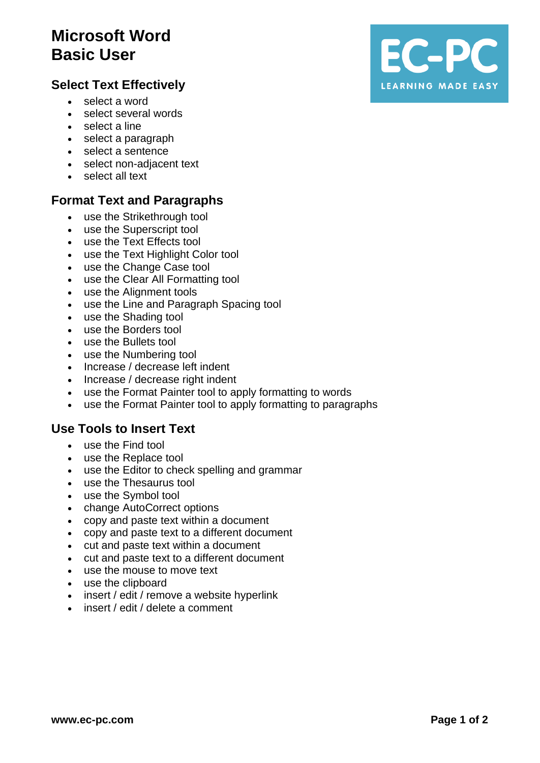# **Microsoft Word Basic User**

# **Select Text Effectively**

- select a word
- select several words
- select a line
- select a paragraph
- select a sentence
- select non-adjacent text
- select all text

### **Format Text and Paragraphs**

- use the Strikethrough tool
- use the Superscript tool
- use the Text Effects tool
- use the Text Highlight Color tool
- use the Change Case tool
- use the Clear All Formatting tool
- use the Alignment tools
- use the Line and Paragraph Spacing tool
- use the Shading tool
- use the Borders tool
- use the Bullets tool
- use the Numbering tool
- Increase / decrease left indent
- Increase / decrease right indent
- use the Format Painter tool to apply formatting to words
- use the Format Painter tool to apply formatting to paragraphs

#### **Use Tools to Insert Text**

- use the Find tool
- use the Replace tool
- use the Editor to check spelling and grammar
- use the Thesaurus tool
- use the Symbol tool
- change AutoCorrect options
- copy and paste text within a document
- copy and paste text to a different document
- cut and paste text within a document
- cut and paste text to a different document
- use the mouse to move text
- use the clipboard
- insert / edit / remove a website hyperlink
- insert / edit / delete a comment